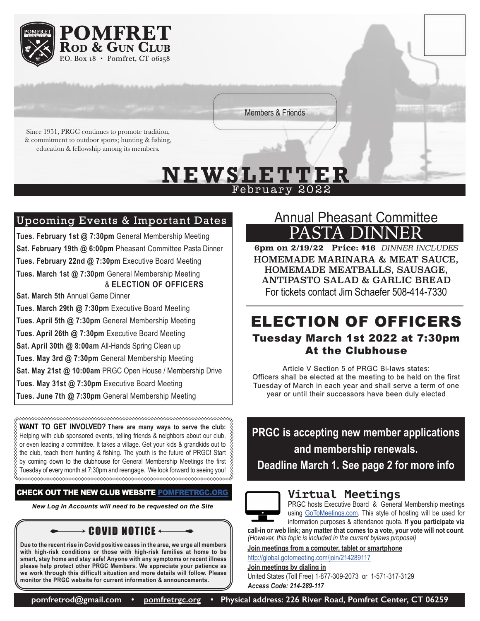

Members & Friends

Since 1951, PRGC continues to promote tradition, & commitment to outdoor sports; hunting & fishing, education & fellowship among its members.

# **N EW SL E T T E R** February 2022

# Upcoming Events & Important Dates

**Tues. February 1st @ 7:30pm** General Membership Meeting **Sat. February 19th @ 6:00pm** Pheasant Committee Pasta Dinner **Tues. February 22nd @ 7:30pm** Executive Board Meeting **Tues. March 1st @ 7:30pm** General Membership Meeting & **ELECTION OF OFFICERS Sat. March 5th** Annual Game Dinner **Tues. March 29th @ 7:30pm** Executive Board Meeting

**Tues. April 5th @ 7:30pm** General Membership Meeting

**Tues. April 26th @ 7:30pm** Executive Board Meeting

**Sat. April 30th @ 8:00am** All-Hands Spring Clean up

**Tues. May 3rd @ 7:30pm** General Membership Meeting

**Sat. May 21st @ 10:00am** PRGC Open House / Membership Drive

**Tues. May 31st @ 7:30pm** Executive Board Meeting

**Tues. June 7th @ 7:30pm** General Membership Meeting

**WANT TO GET INVOLVED? There are many ways to serve the club:** Helping with club sponsored events, telling friends & neighbors about our club, or even leading a committee. It takes a village. Get your kids & grandkids out to the club, teach them hunting & fishing. The youth is the future of PRGC! Start  $\frac{8}{3}$  $\%$  by coming down to the clubhouse for General Membership Meetings the first  $\,\%$ Tuesday of every month at 7:30pm and reengage. We look forward to seeing you!

#### CHECK OUT THE NEW CLUB WEBSITE [POMFRETRGC.ORG](http://POMFRETRGC.ORG)

*New Log In Accounts will need to be requested on the Site*

 $\rightarrow$  Covid Notice

**Due to the recent rise in Covid positive cases in the area, we urge all members with high-risk conditions or those with high-risk families at home to be smart, stay home and stay safe! Anyone with any symptoms or recent illness please help protect other PRGC Members. We appreciate your patience as we work through this difficult situation and more details will follow. Please monitor the PRGC website for current information & announcements.**

# Annual Pheasant Committee PASTA DINN

**6pm on 2/19/22 Price: \$16** *DINNER INCLUDES* HOMEMADE MARINARA & MEAT SAUCE, HOMEMADE MEATBALLS, SAUSAGE, ANTIPASTO SALAD & GARLIC BREAD For tickets contact Jim Schaefer 508-414-7330

## ELECTION OF OFFICERS Tuesday March 1st 2022 at 7:30pm At the Clubhouse

Article V Section 5 of PRGC Bi-laws states: Officers shall be elected at the meeting to be held on the first Tuesday of March in each year and shall serve a term of one year or until their successors have been duly elected

**PRGC is accepting new member applications and membership renewals. Deadline March 1. See page 2 for more info**



#### **Virtual Meetings**

PRGC hosts Executive Board & General Membership meetings using [GoToMeetings.com.](http://GoToMeetings.com) This style of hosting will be used for information purposes & attendance quota. **If you participate via** 

**call-in or web link; any matter that comes to a vote, your vote will not count**. *(However, this topic is included in the current bylaws proposal)*

**Join meetings from a computer, tablet or smartphone**

[http://global.gotomeeting.com/join/214289117](http://global.gotomeeting.com/join/214289117 )

**Join meetings by dialing in**

United States (Toll Free) 1-877-309-2073 or 1-571-317-3129 *Access Code: 214-289-117*